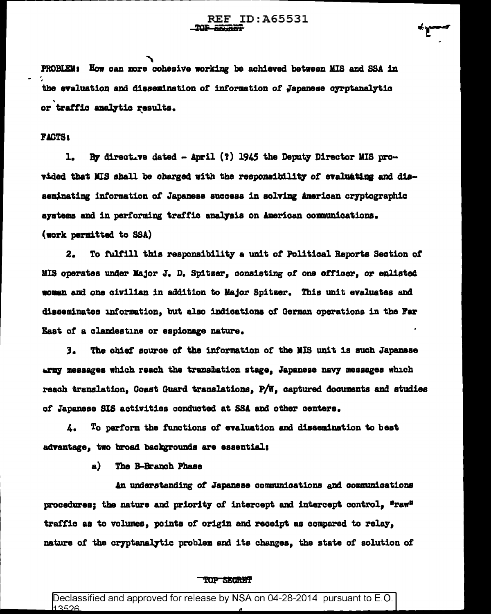PROBLEM: How can more cohesive working be achieved between MIS and SSA in the evaluation and dissemination of information of Japanese cyrotanalytic or traffic analytic results.

## **FACTS:**

By directive dated - April (?) 1945 the Deputy Director MIS pro- $\mathbf{1}_{\bullet}$ vided that MIS shall be charged with the responsibility of evaluating and disseminating information of Japanese success in solving American cryptographic systems and in performing traffic analysis on American communications. (work permitted to SSA)

 $2.$ To fulfill this responsibility a unit of Political Reports Section of MIS operates under Major J. D. Spitser, consisting of one officer, or enlisted woman and one civilian in addition to Major Spitzer. This unit evaluates and disseminates information, but also indications of German operations in the Far East of a clandestine or espionage nature.

 $3.$ The chief source of the information of the MIS unit is such Japanese army messages which reach the translation stage, Japanese navy messages which reach translation. Coast Guard translations. P/W. captured documents and studies of Japanese SIS activities conducted at SSA and other centers.

To perform the functions of evaluation and dissemination to best ۷. advantage, two broad backgrounds are essential;

> $\mathbf{a}$ The B-Branch Phase

An understanding of Japanese communications and communications procedures; the nature and priority of intercept and intercept control, "raw" traffic as to volumes, points of origin and receipt as compared to relay, nature of the cryptanalytic problem and its changes, the state of solution of

## TOP SECRET

Declassified and approved for release by NSA on 04-28-2014 pursuant to E.O. 13526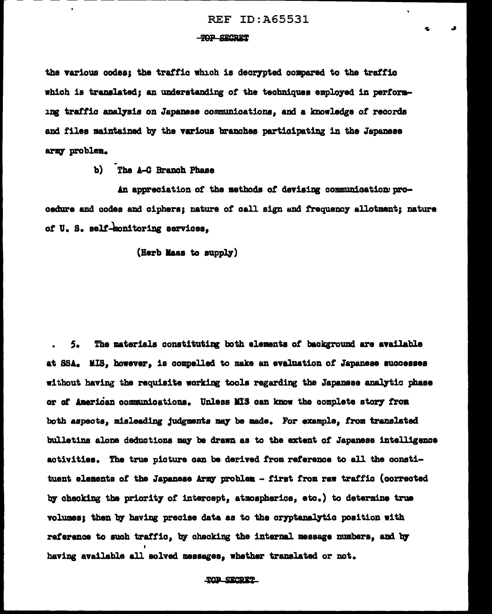## **TOP SECRET**

the various codes: the traffic which is decrypted compared to the traffic which is translated: an understanding of the techniques employed in performing traffic analysis on Japanese communications, and a knowledge of records and files maintained by the various branches participating in the Japanese army problem.

b) The A-C Branch Phase

An appreciation of the methods of devising communication procedure and codes and ciphers: nature of call sign and frequency allotment: nature of U.S. self-monitoring services.

(Herb Maas to supply)

The materials constituting both elements of background are available 5. at SSA. MIS. however, is compelled to make an evaluation of Japanese successes without having the requisite working tools regarding the Japanese analytic phase or of American communications. Unless MIS can know the complete story from both aspects, misleading judgments may be made. For example, from translated bulletins alone deductions may be drawn as to the extent of Japanese intelligence activities. The true picture can be derived from reference to all the constituent elements of the Japanese Army problem - first from raw traffic (corrected by checking the priority of intercept, atmospherics, etc.) to determine true volumes; then by having precise data as to the cryptanalytic position with reference to such traffic. by checking the internal message numbers, and by having available all solved messages, whether translated or not.

TOP SECRET